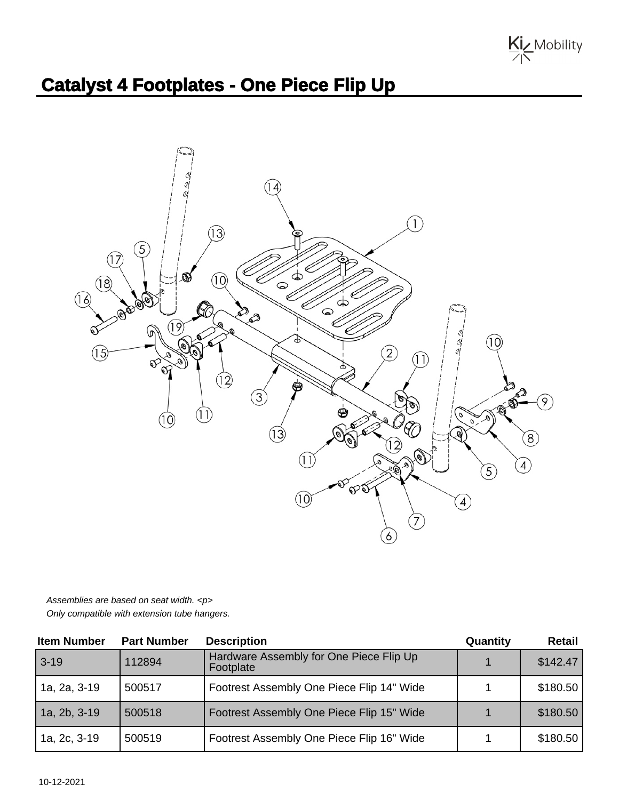Kiz Mobility

## **Catalyst 4 Footplates - One Piece Flip Up**



Assemblies are based on seat width. <p> Only compatible with extension tube hangers.

| <b>Item Number</b> | <b>Part Number</b> | <b>Description</b>                                   | Quantity | Retail   |
|--------------------|--------------------|------------------------------------------------------|----------|----------|
| $3 - 19$           | 112894             | Hardware Assembly for One Piece Flip Up<br>Footplate |          | \$142.47 |
| 1a, 2a, 3-19       | 500517             | Footrest Assembly One Piece Flip 14" Wide            |          | \$180.50 |
| 1a, 2b, 3-19       | 500518             | Footrest Assembly One Piece Flip 15" Wide            |          | \$180.50 |
| 1a, 2c, 3-19       | 500519             | Footrest Assembly One Piece Flip 16" Wide            |          | \$180.50 |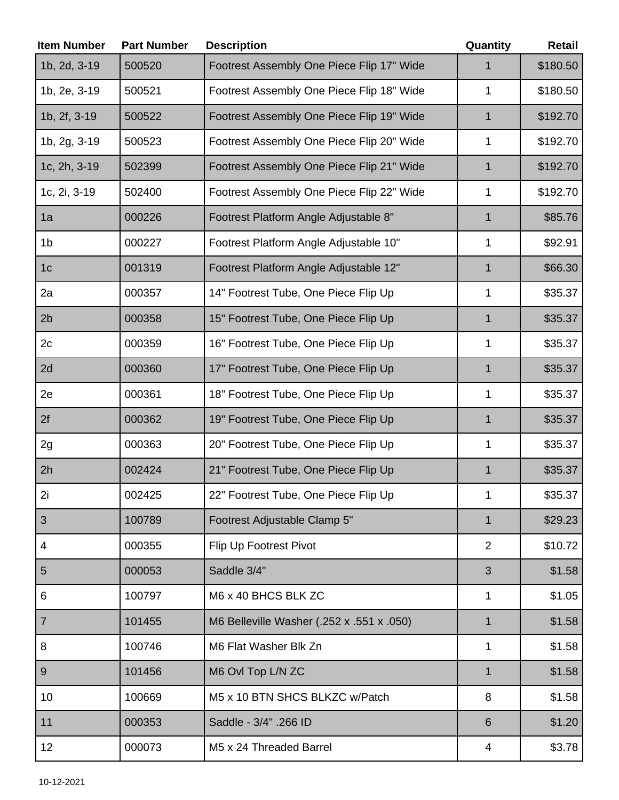| <b>Item Number</b> | <b>Part Number</b> | <b>Description</b>                        | Quantity       | <b>Retail</b> |
|--------------------|--------------------|-------------------------------------------|----------------|---------------|
| 1b, 2d, 3-19       | 500520             | Footrest Assembly One Piece Flip 17" Wide |                | \$180.50      |
| 1b, 2e, 3-19       | 500521             | Footrest Assembly One Piece Flip 18" Wide | 1              | \$180.50      |
| 1b, 2f, 3-19       | 500522             | Footrest Assembly One Piece Flip 19" Wide | $\mathbf 1$    | \$192.70      |
| 1b, 2g, 3-19       | 500523             | Footrest Assembly One Piece Flip 20" Wide | 1              | \$192.70      |
| 1c, 2h, 3-19       | 502399             | Footrest Assembly One Piece Flip 21" Wide | 1              | \$192.70      |
| 1c, 2i, 3-19       | 502400             | Footrest Assembly One Piece Flip 22" Wide | 1              | \$192.70      |
| 1a                 | 000226             | Footrest Platform Angle Adjustable 8"     | 1              | \$85.76       |
| 1 <sub>b</sub>     | 000227             | Footrest Platform Angle Adjustable 10"    | 1              | \$92.91       |
| 1 <sub>c</sub>     | 001319             | Footrest Platform Angle Adjustable 12"    | $\mathbf 1$    | \$66.30       |
| 2a                 | 000357             | 14" Footrest Tube, One Piece Flip Up      | 1              | \$35.37       |
| 2 <sub>b</sub>     | 000358             | 15" Footrest Tube, One Piece Flip Up      | 1              | \$35.37       |
| 2c                 | 000359             | 16" Footrest Tube, One Piece Flip Up      | 1              | \$35.37       |
| 2d                 | 000360             | 17" Footrest Tube, One Piece Flip Up      | $\mathbf 1$    | \$35.37       |
| 2e                 | 000361             | 18" Footrest Tube, One Piece Flip Up      | 1              | \$35.37       |
| 2f                 | 000362             | 19" Footrest Tube, One Piece Flip Up      | $\mathbf 1$    | \$35.37       |
| 2g                 | 000363             | 20" Footrest Tube, One Piece Flip Up      | 1              | \$35.37       |
| 2h                 | 002424             | 21" Footrest Tube, One Piece Flip Up      | 1              | \$35.37       |
| 2i                 | 002425             | 22" Footrest Tube, One Piece Flip Up      | 1              | \$35.37       |
| 3                  | 100789             | Footrest Adjustable Clamp 5"              | $\mathbf 1$    | \$29.23       |
| $\overline{4}$     | 000355             | Flip Up Footrest Pivot                    | $\overline{2}$ | \$10.72       |
| 5                  | 000053             | Saddle 3/4"                               | 3              | \$1.58        |
| 6                  | 100797             | M6 x 40 BHCS BLK ZC                       | 1              | \$1.05        |
| $\overline{7}$     | 101455             | M6 Belleville Washer (.252 x .551 x .050) | 1              | \$1.58        |
| 8                  | 100746             | M6 Flat Washer Blk Zn                     | 1              | \$1.58        |
| 9                  | 101456             | M6 Ovl Top L/N ZC                         | $\mathbf 1$    | \$1.58        |
| 10                 | 100669             | M5 x 10 BTN SHCS BLKZC w/Patch            | 8              | \$1.58        |
| 11                 | 000353             | Saddle - 3/4" .266 ID                     | 6              | \$1.20        |
| 12                 | 000073             | M5 x 24 Threaded Barrel                   | 4              | \$3.78        |